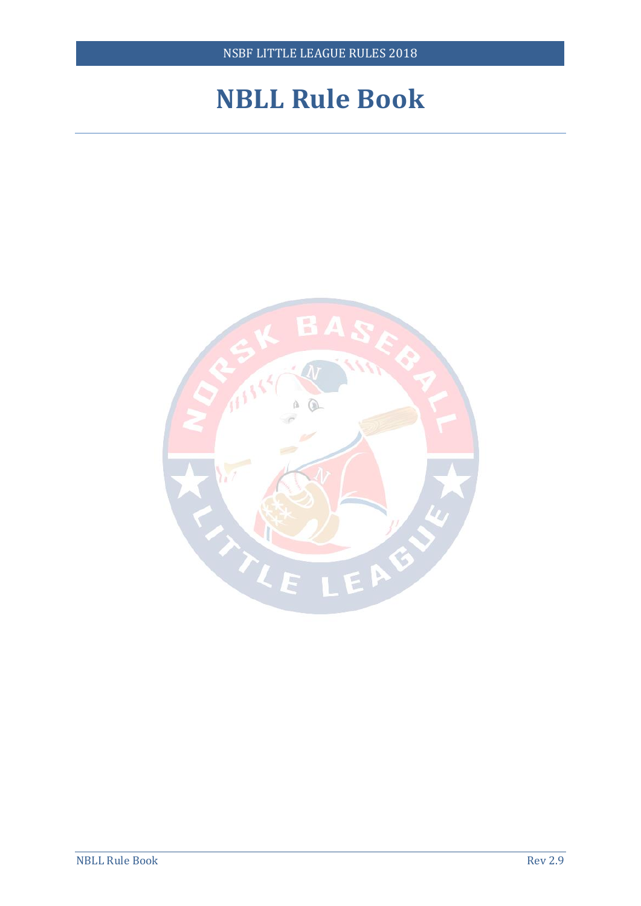## **NBLL Rule Book**

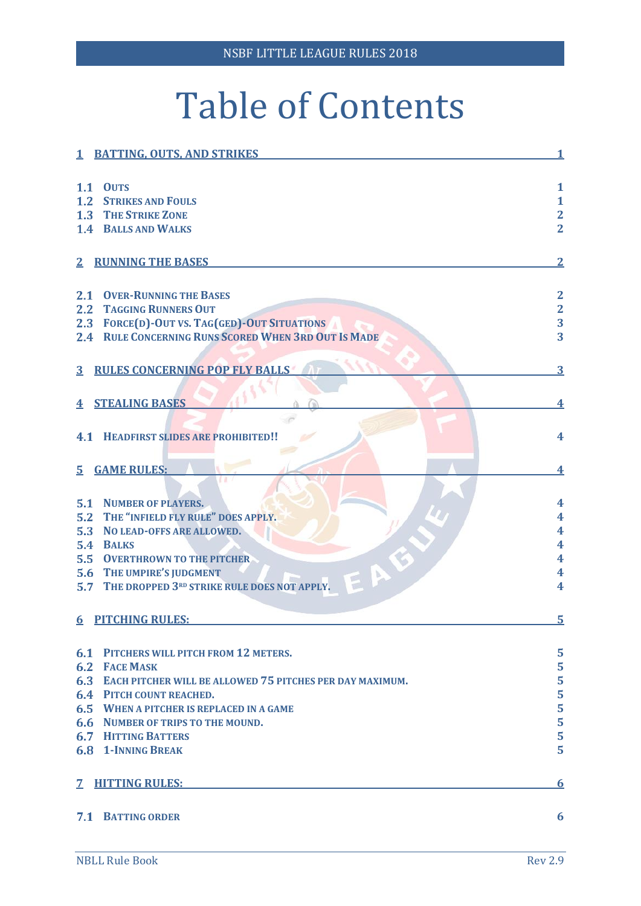# Table of Contents

|                         | 1 BATTING, OUTS, AND STRIKES                                    |                         |
|-------------------------|-----------------------------------------------------------------|-------------------------|
| 1.1                     | <b>OUTS</b>                                                     | $\mathbf{1}$            |
| 1.2                     | <b>STRIKES AND FOULS</b>                                        | $\mathbf{1}$            |
| 1.3                     | <b>THE STRIKE ZONE</b>                                          |                         |
| 1.4                     | <b>BALLS AND WALKS</b>                                          | $\frac{2}{2}$           |
|                         |                                                                 |                         |
| 2 <sub>1</sub>          | <b>RUNNING THE BASES</b>                                        |                         |
| 2.1                     | <b>OVER-RUNNING THE BASES</b>                                   |                         |
| 2.2                     | <b>TAGGING RUNNERS OUT</b>                                      |                         |
| 2.3                     | <b>FORCE(D)-OUT VS. TAG(GED)-OUT SITUATIONS</b>                 | $\frac{2}{2}$           |
|                         | 2.4 RULE CONCERNING RUNS SCORED WHEN 3RD OUT IS MADE            | 3                       |
|                         |                                                                 |                         |
| $\overline{3}$          | <b>RULES CONCERNING POP FLY BALLS</b>                           | 3                       |
|                         |                                                                 |                         |
| $\overline{\textbf{4}}$ | <b>STEALING BASES</b>                                           |                         |
|                         |                                                                 |                         |
| 4.1                     | <b>HEADFIRST SLIDES ARE PROHIBITED!!</b>                        | 4                       |
|                         |                                                                 |                         |
| $\overline{5}$          | <b>GAME RULES:</b>                                              | 4                       |
|                         |                                                                 |                         |
| 5.1                     | <b>NUMBER OF PLAYERS.</b>                                       | $\overline{\textbf{4}}$ |
| 5.2                     | THE "INFIELD FLY RULE" DOES APPLY.                              | 4                       |
| 5.3                     | NO LEAD-OFFS ARE ALLOWED.                                       | 4                       |
| 5.4                     | <b>BALKS</b>                                                    | 4                       |
| 5.5                     | <b>OVERTHROWN TO THE PITCHER</b>                                | 4                       |
| 5.6                     | THE UMPIRE'S JUDGMENT                                           | 4                       |
| 5.7                     | THE DROPPED 3RD STRIKE RULE DOES NOT APPLY.                     | 4                       |
|                         | 6 PITCHING RULES:                                               |                         |
|                         |                                                                 |                         |
|                         |                                                                 |                         |
| 6.1                     | PITCHERS WILL PITCH FROM 12 METERS.                             | 5                       |
| 6.2                     | <b>FACE MASK</b>                                                | 5                       |
| 6.3                     | <b>EACH PITCHER WILL BE ALLOWED 75 PITCHES PER DAY MAXIMUM.</b> | 5                       |
| 6.4                     | <b>PITCH COUNT REACHED.</b>                                     | 5                       |
| 6.5                     | <b>WHEN A PITCHER IS REPLACED IN A GAME</b>                     | 5                       |
| 6.6                     | NUMBER OF TRIPS TO THE MOUND.                                   | 5                       |
| 6.7                     | <b>HITTING BATTERS</b>                                          | 5                       |
| 6.8                     | <b>1-INNING BREAK</b>                                           | 5                       |
| $\overline{7}$          | <b>HITTING RULES:</b>                                           | 6                       |
|                         | <b>7.1 BATTING ORDER</b>                                        | 6                       |
|                         |                                                                 |                         |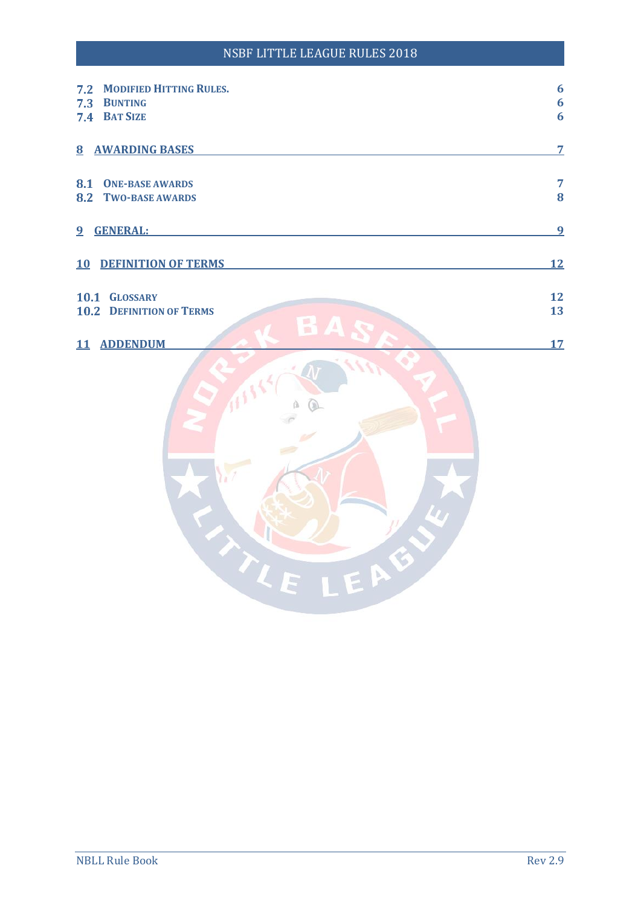#### NSBF LITTLE LEAGUE RULES 2018

| <b>MODIFIED HITTING RULES.</b><br>7.2 | $\boldsymbol{6}$ |
|---------------------------------------|------------------|
| 7.3<br><b>BUNTING</b>                 | $\boldsymbol{6}$ |
| 7.4 BAT SIZE                          | $\boldsymbol{6}$ |
|                                       |                  |
|                                       |                  |
| <b>8 AWARDING BASES</b>               | $\overline{7}$   |
|                                       |                  |
| 8.1<br><b>ONE-BASE AWARDS</b>         | $\overline{7}$   |
| 8.2<br><b>TWO-BASE AWARDS</b>         | 8                |
|                                       |                  |
|                                       |                  |
| 9 GENERAL:                            | 9                |
|                                       |                  |
|                                       |                  |
| <b>10 DEFINITION OF TERMS</b>         | <u>12</u>        |
|                                       |                  |
| 10.1 GLOSSARY                         | 12               |
| <b>10.2 DEFINITION OF TERMS</b>       | 13               |
|                                       |                  |
| 區<br>$\Delta$                         |                  |
| 11 ADDENDUM                           | 17               |
|                                       |                  |
|                                       |                  |
|                                       |                  |
|                                       |                  |
|                                       |                  |
|                                       |                  |
|                                       |                  |
|                                       |                  |
|                                       |                  |
|                                       |                  |
|                                       |                  |
|                                       |                  |
|                                       |                  |
|                                       |                  |
|                                       |                  |
| EAEL                                  |                  |
| TI                                    |                  |
|                                       |                  |
|                                       |                  |
|                                       |                  |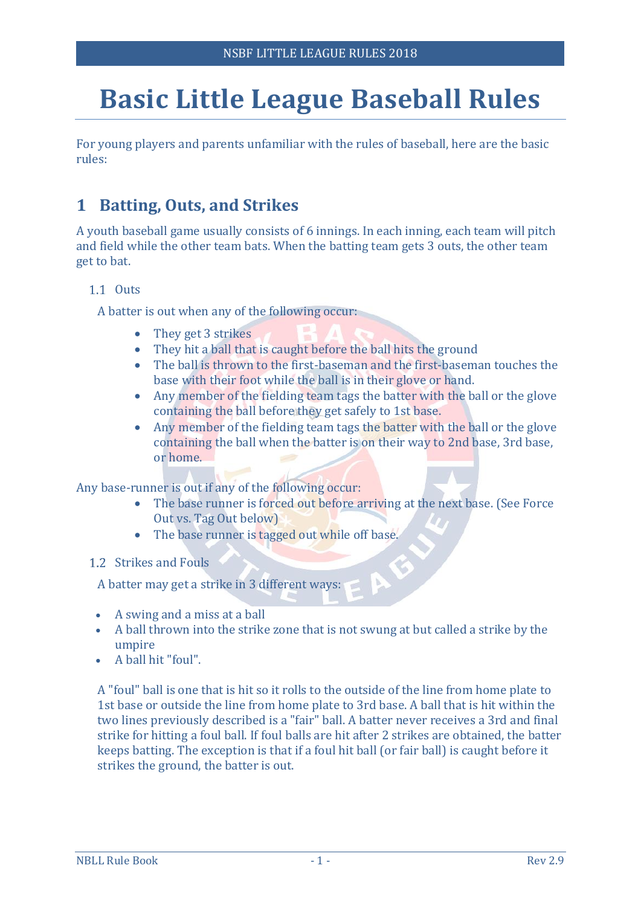## **Basic Little League Baseball Rules**

For young players and parents unfamiliar with the rules of baseball, here are the basic rules:

## <span id="page-3-0"></span>**1 Batting, Outs, and Strikes**

A youth baseball game usually consists of 6 innings. In each inning, each team will pitch and field while the other team bats. When the batting team gets 3 outs, the other team get to bat.

#### <span id="page-3-1"></span>1.1 Outs

A batter is out when any of the following occur:

- They get 3 strikes
- They hit a ball that is caught before the ball hits the ground
- The ball is thrown to the first-baseman and the first-baseman touches the base with their foot while the ball is in their glove or hand.
- Any member of the fielding team tags the batter with the ball or the glove containing the ball before they get safely to 1st base.
- Any member of the fielding team tags the batter with the ball or the glove containing the ball when the batter is on their way to 2nd base, 3rd base, or home.

Any base-runner is out if any of the following occur:

- The base runner is forced out before arriving at the next base. (See Force Out vs. Tag Out below)
- The base runner is tagged out while off base.
- <span id="page-3-2"></span>1.2 Strikes and Fouls

A batter may get a strike in 3 different ways:

- A swing and a miss at a ball
- A ball thrown into the strike zone that is not swung at but called a strike by the umpire
- A ball hit "foul".

A "foul" ball is one that is hit so it rolls to the outside of the line from home plate to 1st base or outside the line from home plate to 3rd base. A ball that is hit within the two lines previously described is a "fair" ball. A batter never receives a 3rd and final strike for hitting a foul ball. If foul balls are hit after 2 strikes are obtained, the batter keeps batting. The exception is that if a foul hit ball (or fair ball) is caught before it strikes the ground, the batter is out.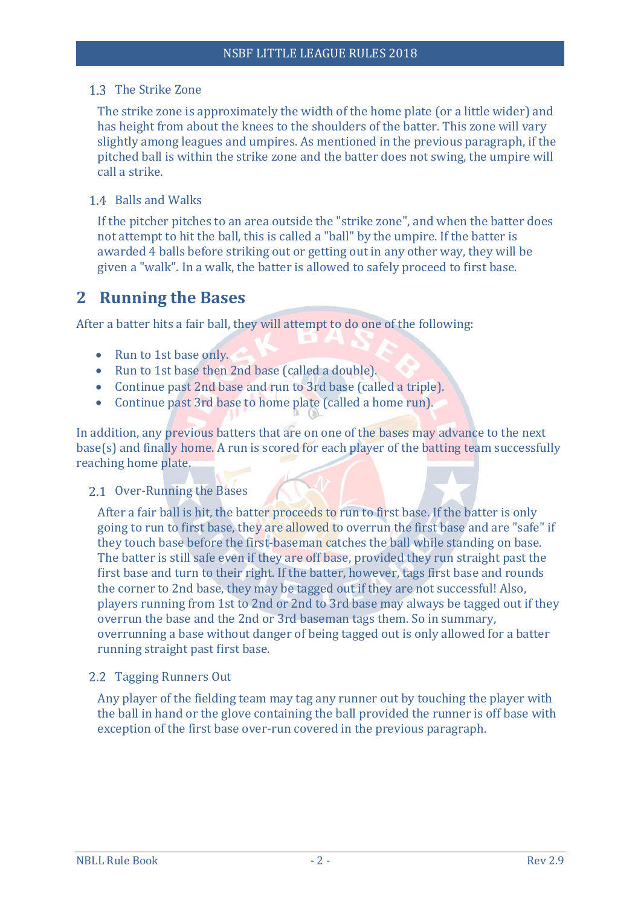<span id="page-4-0"></span>1.3 The Strike Zone

The strike zone is approximately the width of the home plate (or a little wider) and has height from about the knees to the shoulders of the batter. This zone will vary slightly among leagues and umpires. As mentioned in the previous paragraph, if the pitched ball is within the strike zone and the batter does not swing, the umpire will call a strike.

<span id="page-4-1"></span>1.4 Balls and Walks

If the pitcher pitches to an area outside the "strike zone", and when the batter does not attempt to hit the ball, this is called a "ball" by the umpire. If the batter is awarded 4 balls before striking out or getting out in any other way, they will be given a "walk". In a walk, the batter is allowed to safely proceed to first base.

## <span id="page-4-2"></span>**2 Running the Bases**

After a batter hits a fair ball, they will attempt to do one of the following:

- Run to 1st base only.
- Run to 1st base then 2nd base (called a double).
- Continue past 2nd base and run to 3rd base (called a triple).
- Continue past 3rd base to home plate (called a home run).

In addition, any previous batters that are on one of the bases may advance to the next base(s) and finally home. A run is scored for each player of the batting team successfully reaching home plate.

#### <span id="page-4-3"></span>2.1 Over-Running the Bases

After a fair ball is hit, the batter proceeds to run to first base. If the batter is only going to run to first base, they are allowed to overrun the first base and are "safe" if they touch base before the first-baseman catches the ball while standing on base. The batter is still safe even if they are off base, provided they run straight past the first base and turn to their right. If the batter, however, tags first base and rounds the corner to 2nd base, they may be tagged out if they are not successful! Also, players running from 1st to 2nd or 2nd to 3rd base may always be tagged out if they overrun the base and the 2nd or 3rd baseman tags them. So in summary, overrunning a base without danger of being tagged out is only allowed for a batter running straight past first base.

<span id="page-4-4"></span>2.2 Tagging Runners Out

Any player of the fielding team may tag any runner out by touching the player with the ball in hand or the glove containing the ball provided the runner is off base with exception of the first base over-run covered in the previous paragraph.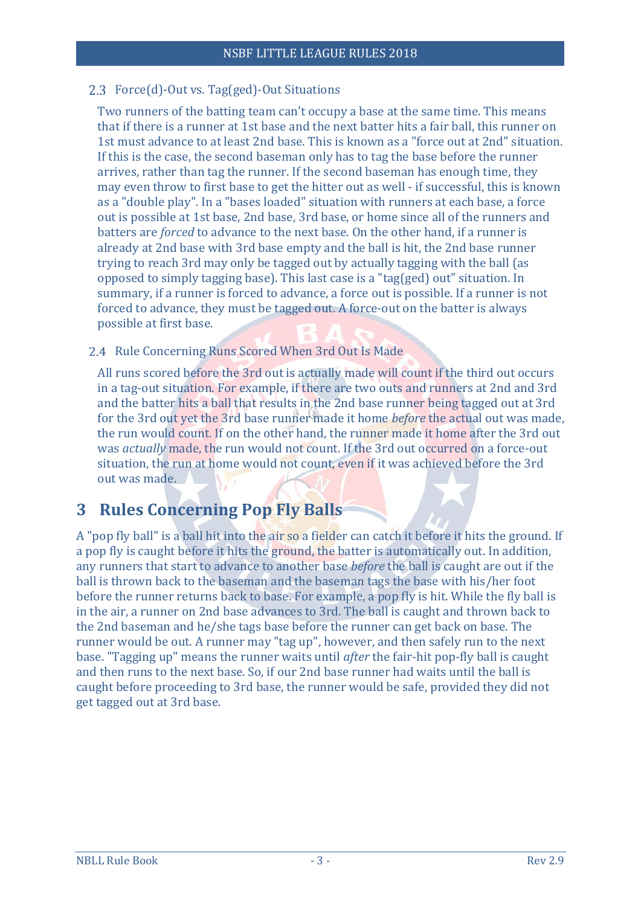#### <span id="page-5-0"></span>2.3 Force(d)-Out vs. Tag(ged)-Out Situations

Two runners of the batting team can't occupy a base at the same time. This means that if there is a runner at 1st base and the next batter hits a fair ball, this runner on 1st must advance to at least 2nd base. This is known as a "force out at 2nd" situation. If this is the case, the second baseman only has to tag the base before the runner arrives, rather than tag the runner. If the second baseman has enough time, they may even throw to first base to get the hitter out as well - if successful, this is known as a "double play". In a "bases loaded" situation with runners at each base, a force out is possible at 1st base, 2nd base, 3rd base, or home since all of the runners and batters are *forced* to advance to the next base. On the other hand, if a runner is already at 2nd base with 3rd base empty and the ball is hit, the 2nd base runner trying to reach 3rd may only be tagged out by actually tagging with the ball (as opposed to simply tagging base). This last case is a "tag(ged) out" situation. In summary, if a runner is forced to advance, a force out is possible. If a runner is not forced to advance, they must be tagged out. A force-out on the batter is always possible at first base.

#### <span id="page-5-1"></span>2.4 Rule Concerning Runs Scored When 3rd Out Is Made

All runs scored before the 3rd out is actually made will count if the third out occurs in a tag-out situation. For example, if there are two outs and runners at 2nd and 3rd and the batter hits a ball that results in the 2nd base runner being tagged out at 3rd for the 3rd out yet the 3rd base runner made it home *before* the actual out was made, the run would count. If on the other hand, the runner made it home after the 3rd out was *actually* made, the run would not count. If the 3rd out occurred on a force-out situation, the run at home would not count, even if it was achieved before the 3rd out was made.

## <span id="page-5-2"></span>**3 Rules Concerning Pop Fly Balls**

A "pop fly ball" is a ball hit into the air so a fielder can catch it before it hits the ground. If a pop fly is caught before it hits the ground, the batter is automatically out. In addition, any runners that start to advance to another base *before* the ball is caught are out if the ball is thrown back to the baseman and the baseman tags the base with his/her foot before the runner returns back to base. For example, a pop fly is hit. While the fly ball is in the air, a runner on 2nd base advances to 3rd. The ball is caught and thrown back to the 2nd baseman and he/she tags base before the runner can get back on base. The runner would be out. A runner may "tag up", however, and then safely run to the next base. "Tagging up" means the runner waits until *after* the fair-hit pop-fly ball is caught and then runs to the next base. So, if our 2nd base runner had waits until the ball is caught before proceeding to 3rd base, the runner would be safe, provided they did not get tagged out at 3rd base.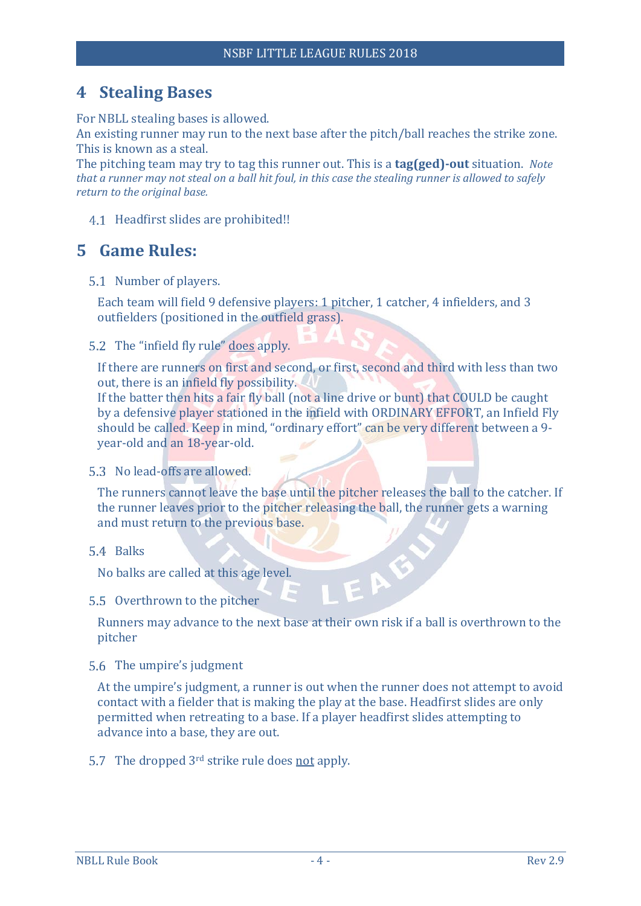## <span id="page-6-0"></span>**4 Stealing Bases**

For NBLL stealing bases is allowed.

An existing runner may run to the next base after the pitch/ball reaches the strike zone. This is known as a steal.

The pitching team may try to tag this runner out. This is a **tag(ged)-out** situation. *Note that a runner may not steal on a ball hit foul, in this case the stealing runner is allowed to safely return to the original base.*

<span id="page-6-1"></span>4.1 Headfirst slides are prohibited!!

## <span id="page-6-2"></span>**5 Game Rules:**

<span id="page-6-3"></span>5.1 Number of players.

Each team will field 9 defensive players: 1 pitcher, 1 catcher, 4 infielders, and 3 outfielders (positioned in the outfield grass).

<span id="page-6-4"></span>5.2 The "infield fly rule" does apply.

If there are runners on first and second, or first, second and third with less than two out, there is an infield fly possibility.

If the batter then hits a fair fly ball (not a line drive or bunt) that COULD be caught by a defensive player stationed in the infield with ORDINARY EFFORT, an Infield Fly should be called. Keep in mind, "ordinary effort" can be very different between a 9 year-old and an 18-year-old.

#### <span id="page-6-5"></span>5.3 No lead-offs are allowed.

The runners cannot leave the base until the pitcher releases the ball to the catcher. If the runner leaves prior to the pitcher releasing the ball, the runner gets a warning and must return to the previous base.

<span id="page-6-6"></span>5.4 Balks

No balks are called at this age level.

<span id="page-6-7"></span>5.5 Overthrown to the pitcher

Runners may advance to the next base at their own risk if a ball is overthrown to the pitcher

EAB

<span id="page-6-8"></span>5.6 The umpire's judgment

At the umpire's judgment, a runner is out when the runner does not attempt to avoid contact with a fielder that is making the play at the base. Headfirst slides are only permitted when retreating to a base. If a player headfirst slides attempting to advance into a base, they are out.

<span id="page-6-9"></span>5.7 The dropped  $3<sup>rd</sup>$  strike rule does not apply.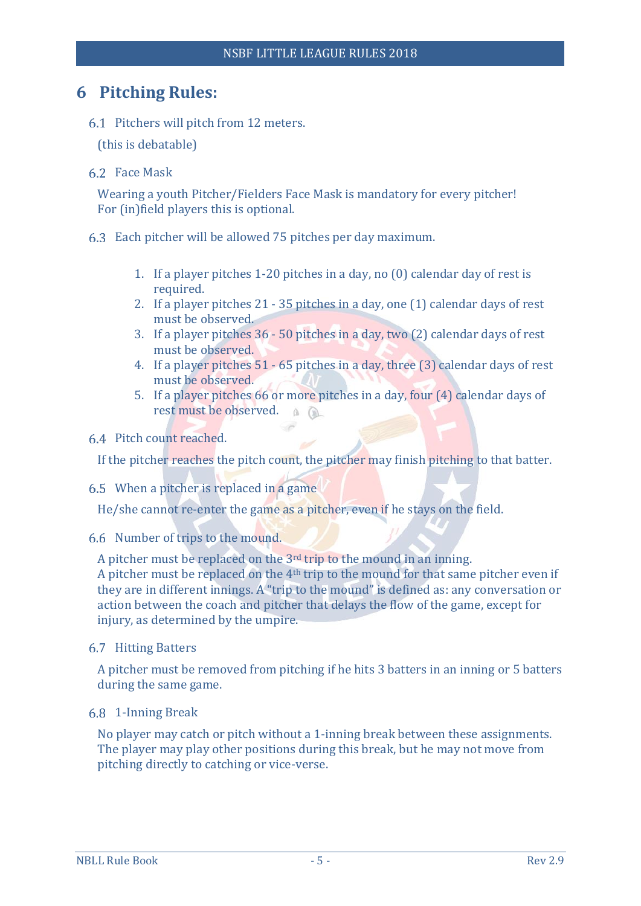### <span id="page-7-0"></span>**6 Pitching Rules:**

<span id="page-7-1"></span>6.1 Pitchers will pitch from 12 meters.

(this is debatable)

<span id="page-7-2"></span>Face Mask

Wearing a youth Pitcher/Fielders Face Mask is mandatory for every pitcher! For (in)field players this is optional.

- <span id="page-7-3"></span>Each pitcher will be allowed 75 pitches per day maximum.
	- 1. If a player pitches 1-20 pitches in a day, no (0) calendar day of rest is required.
	- 2. If a player pitches 21 35 pitches in a day, one (1) calendar days of rest must be observed.
	- 3. If a player pitches 36 50 pitches in a day, two (2) calendar days of rest must be observed.
	- 4. If a player pitches 51 65 pitches in a day, three (3) calendar days of rest must be observed.
	- 5. If a player pitches 66 or more pitches in a day, four (4) calendar days of rest must be observed.
- <span id="page-7-4"></span>Pitch count reached.

If the pitcher reaches the pitch count, the pitcher may finish pitching to that batter.

<span id="page-7-5"></span>When a pitcher is replaced in a game

He/she cannot re-enter the game as a pitcher, even if he stays on the field.

<span id="page-7-6"></span>6.6 Number of trips to the mound.

A pitcher must be replaced on the 3rd trip to the mound in an inning. A pitcher must be replaced on the 4th trip to the mound for that same pitcher even if they are in different innings. A "trip to the mound" is defined as: any conversation or action between the coach and pitcher that delays the flow of the game, except for injury, as determined by the umpire.

#### <span id="page-7-7"></span>6.7 Hitting Batters

A pitcher must be removed from pitching if he hits 3 batters in an inning or 5 batters during the same game.

<span id="page-7-8"></span>1-Inning Break

No player may catch or pitch without a 1-inning break between these assignments. The player may play other positions during this break, but he may not move from pitching directly to catching or vice-verse.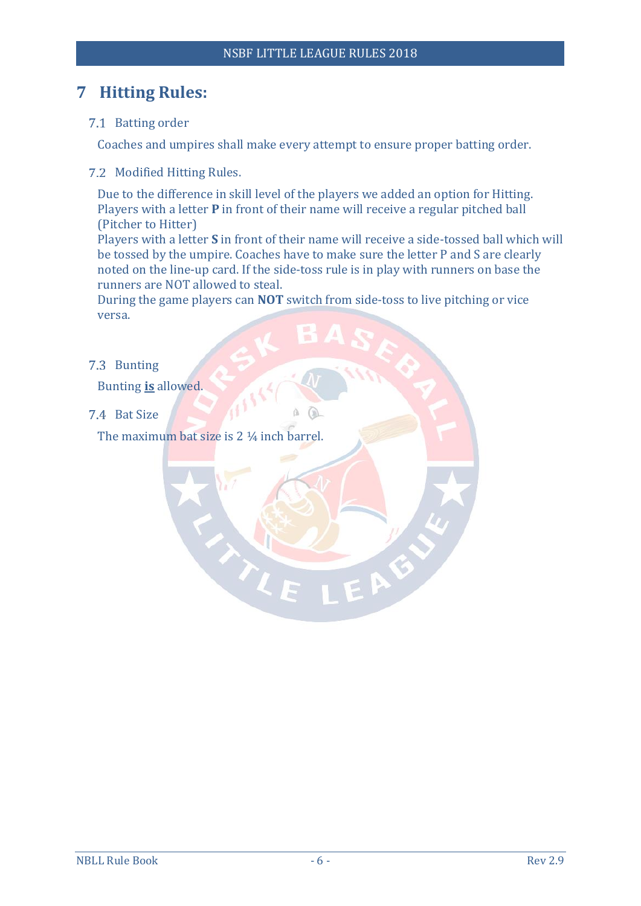## <span id="page-8-0"></span>**7 Hitting Rules:**

<span id="page-8-1"></span>7.1 Batting order

Coaches and umpires shall make every attempt to ensure proper batting order.

<span id="page-8-2"></span>7.2 Modified Hitting Rules.

Due to the difference in skill level of the players we added an option for Hitting. Players with a letter **P** in front of their name will receive a regular pitched ball (Pitcher to Hitter)

Players with a letter **S** in front of their name will receive a side-tossed ball which will be tossed by the umpire. Coaches have to make sure the letter P and S are clearly noted on the line-up card. If the side-toss rule is in play with runners on base the runners are NOT allowed to steal.

EAB

During the game players can **NOT** switch from side-toss to live pitching or vice versa.

<span id="page-8-3"></span>7.3 Bunting

Bunting **is** allowed.

<span id="page-8-4"></span>7.4 Bat Size

The maximum bat size is 2 1/4 inch barrel.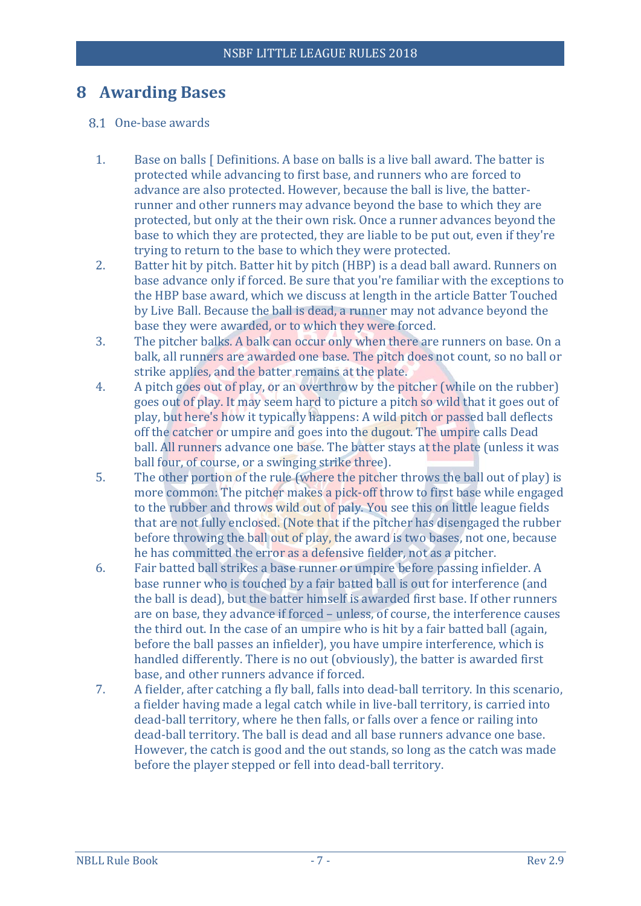### <span id="page-9-0"></span>**8 Awarding Bases**

#### <span id="page-9-1"></span>8.1 One-base awards

- 1. Base on balls [ Definitions. A base on balls is a live ball award. The batter is protected while advancing to first base, and runners who are forced to advance are also protected. However, because the ball is live, the batterrunner and other runners may advance beyond the base to which they are protected, but only at the their own risk. Once a runner advances beyond the base to which they are protected, they are liable to be put out, even if they're trying to return to the base to which they were protected.
- 2. Batter hit by pitch. Batter hit by pitch (HBP) is a dead ball award. Runners on base advance only if forced. Be sure that you're familiar with the exceptions to the HBP base award, which we discuss at length in the article Batter Touched by Live Ball. Because the ball is dead, a runner may not advance beyond the base they were awarded, or to which they were forced.
- 3. The pitcher balks. A balk can occur only when there are runners on base. On a balk, all runners are awarded one base. The pitch does not count, so no ball or strike applies, and the batter remains at the plate.
- 4. A pitch goes out of play, or an overthrow by the pitcher (while on the rubber) goes out of play. It may seem hard to picture a pitch so wild that it goes out of play, but here's how it typically happens: A wild pitch or passed ball deflects off the catcher or umpire and goes into the dugout. The umpire calls Dead ball. All runners advance one base. The batter stays at the plate (unless it was ball four, of course, or a swinging strike three).
- 5. The other portion of the rule (where the pitcher throws the ball out of play) is more common: The pitcher makes a pick-off throw to first base while engaged to the rubber and throws wild out of paly. You see this on little league fields that are not fully enclosed. (Note that if the pitcher has disengaged the rubber before throwing the ball out of play, the award is two bases, not one, because he has committed the error as a defensive fielder, not as a pitcher.
- 6. Fair batted ball strikes a base runner or umpire before passing infielder. A base runner who is touched by a fair batted ball is out for interference (and the ball is dead), but the batter himself is awarded first base. If other runners are on base, they advance if forced – unless, of course, the interference causes the third out. In the case of an umpire who is hit by a fair batted ball (again, before the ball passes an infielder), you have umpire interference, which is handled differently. There is no out (obviously), the batter is awarded first base, and other runners advance if forced.
- 7. A fielder, after catching a fly ball, falls into dead-ball territory. In this scenario, a fielder having made a legal catch while in live-ball territory, is carried into dead-ball territory, where he then falls, or falls over a fence or railing into dead-ball territory. The ball is dead and all base runners advance one base. However, the catch is good and the out stands, so long as the catch was made before the player stepped or fell into dead-ball territory.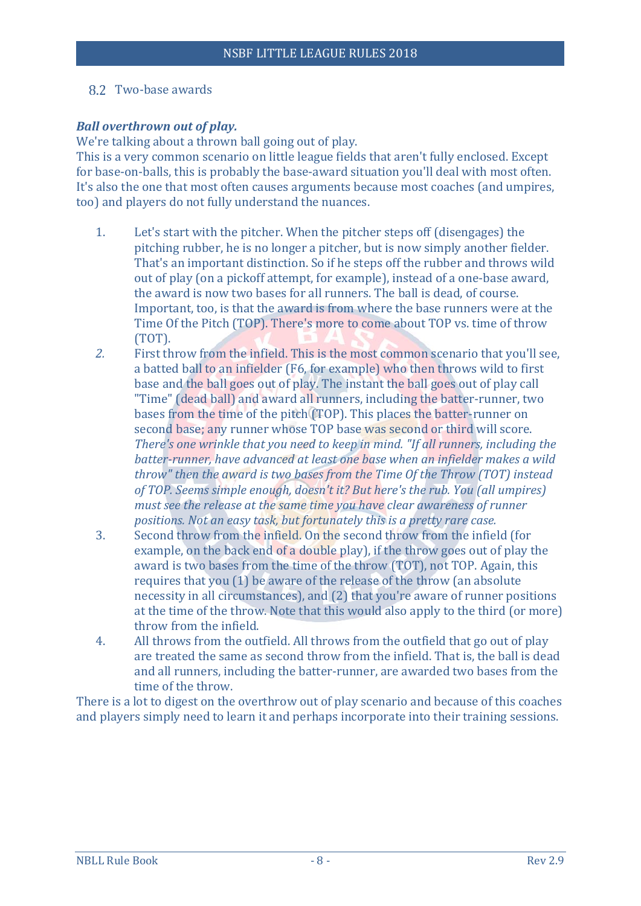#### <span id="page-10-0"></span>8.2 Two-base awards

#### *Ball overthrown out of play.*

We're talking about a thrown ball going out of play.

This is a very common scenario on little league fields that aren't fully enclosed. Except for base-on-balls, this is probably the base-award situation you'll deal with most often. It's also the one that most often causes arguments because most coaches (and umpires, too) and players do not fully understand the nuances.

- 1. Let's start with the pitcher. When the pitcher steps off (disengages) the pitching rubber, he is no longer a pitcher, but is now simply another fielder. That's an important distinction. So if he steps off the rubber and throws wild out of play (on a pickoff attempt, for example), instead of a one-base award, the award is now two bases for all runners. The ball is dead, of course. Important, too, is that the award is from where the base runners were at the Time Of the Pitch (TOP). There's more to come about TOP vs. time of throw (TOT).
- *2.* First throw from the infield. This is the most common scenario that you'll see, a batted ball to an infielder (F6, for example) who then throws wild to first base and the ball goes out of play. The instant the ball goes out of play call "Time" (dead ball) and award all runners, including the batter-runner, two bases from the time of the pitch (TOP). This places the batter-runner on second base; any runner whose TOP base was second or third will score. *There's one wrinkle that you need to keep in mind. "If all runners, including the batter-runner, have advanced at least one base when an infielder makes a wild throw" then the award is two bases from the Time Of the Throw (TOT) instead of TOP. Seems simple enough, doesn't it? But here's the rub. You (all umpires) must see the release at the same time you have clear awareness of runner positions. Not an easy task, but fortunately this is a pretty rare case.*
- 3. Second throw from the infield. On the second throw from the infield (for example, on the back end of a double play), if the throw goes out of play the award is two bases from the time of the throw (TOT), not TOP. Again, this requires that you (1) be aware of the release of the throw (an absolute necessity in all circumstances), and (2) that you're aware of runner positions at the time of the throw. Note that this would also apply to the third (or more) throw from the infield.
- 4. All throws from the outfield. All throws from the outfield that go out of play are treated the same as second throw from the infield. That is, the ball is dead and all runners, including the batter-runner, are awarded two bases from the time of the throw.

There is a lot to digest on the overthrow out of play scenario and because of this coaches and players simply need to learn it and perhaps incorporate into their training sessions.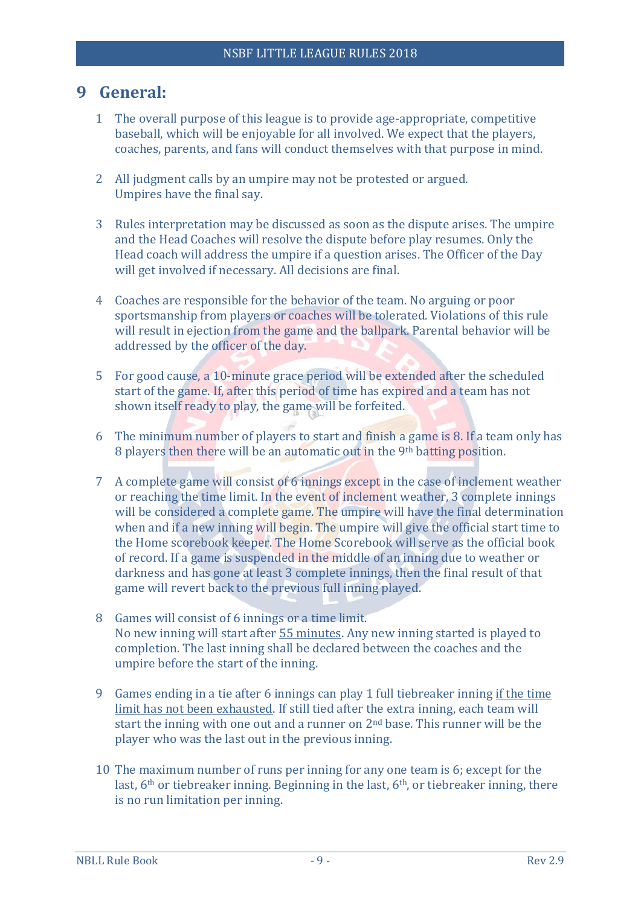## <span id="page-11-0"></span>**9 General:**

- 1 The overall purpose of this league is to provide age-appropriate, competitive baseball, which will be enjoyable for all involved. We expect that the players, coaches, parents, and fans will conduct themselves with that purpose in mind.
- 2 All judgment calls by an umpire may not be protested or argued. Umpires have the final say.
- 3 Rules interpretation may be discussed as soon as the dispute arises. The umpire and the Head Coaches will resolve the dispute before play resumes. Only the Head coach will address the umpire if a question arises. The Officer of the Day will get involved if necessary. All decisions are final.
- 4 Coaches are responsible for the behavior of the team. No arguing or poor sportsmanship from players or coaches will be tolerated. Violations of this rule will result in ejection from the game and the ballpark. Parental behavior will be addressed by the officer of the day.
- 5 For good cause, a 10-minute grace period will be extended after the scheduled start of the game. If, after this period of time has expired and a team has not shown itself ready to play, the game will be forfeited.
- 6 The minimum number of players to start and finish a game is 8. If a team only has 8 players then there will be an automatic out in the 9<sup>th</sup> batting position.
- 7 A complete game will consist of 6 innings except in the case of inclement weather or reaching the time limit. In the event of inclement weather, 3 complete innings will be considered a complete game. The umpire will have the final determination when and if a new inning will begin. The umpire will give the official start time to the Home scorebook keeper. The Home Scorebook will serve as the official book of record. If a game is suspended in the middle of an inning due to weather or darkness and has gone at least 3 complete innings, then the final result of that game will revert back to the previous full inning played.
- 8 Games will consist of 6 innings or a time limit. No new inning will start after 55 minutes. Any new inning started is played to completion. The last inning shall be declared between the coaches and the umpire before the start of the inning.
- 9 Games ending in a tie after 6 innings can play 1 full tiebreaker inning if the time limit has not been exhausted. If still tied after the extra inning, each team will start the inning with one out and a runner on 2nd base. This runner will be the player who was the last out in the previous inning.
- 10 The maximum number of runs per inning for any one team is 6; except for the last, 6<sup>th</sup> or tiebreaker inning. Beginning in the last, 6<sup>th</sup>, or tiebreaker inning, there is no run limitation per inning.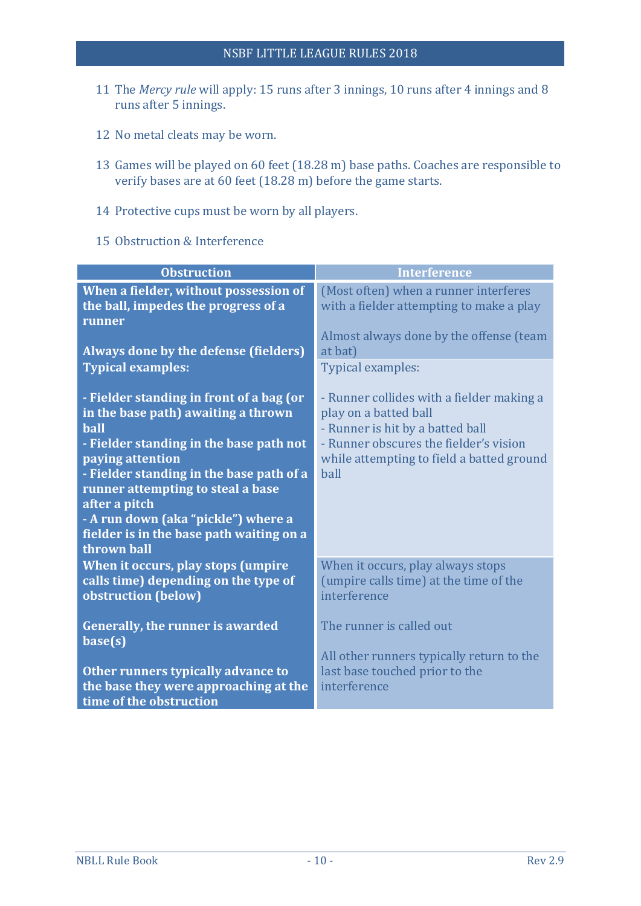- 11 The *Mercy rule* will apply: 15 runs after 3 innings, 10 runs after 4 innings and 8 runs after 5 innings.
- 12 No metal cleats may be worn.
- 13 Games will be played on 60 feet (18.28 m) base paths. Coaches are responsible to verify bases are at 60 feet (18.28 m) before the game starts.
- 14 Protective cups must be worn by all players.
- 15 Obstruction & Interference

| <b>Obstruction</b>                                                                                                                                                                                                                                                                                                                                                | <b>Interference</b>                                                                                                                                                                                   |
|-------------------------------------------------------------------------------------------------------------------------------------------------------------------------------------------------------------------------------------------------------------------------------------------------------------------------------------------------------------------|-------------------------------------------------------------------------------------------------------------------------------------------------------------------------------------------------------|
| When a fielder, without possession of<br>the ball, impedes the progress of a<br>runner                                                                                                                                                                                                                                                                            | (Most often) when a runner interferes<br>with a fielder attempting to make a play<br>Almost always done by the offense (team                                                                          |
| Always done by the defense (fielders)                                                                                                                                                                                                                                                                                                                             | at bat)                                                                                                                                                                                               |
| <b>Typical examples:</b>                                                                                                                                                                                                                                                                                                                                          | Typical examples:                                                                                                                                                                                     |
| - Fielder standing in front of a bag (or<br>in the base path) awaiting a thrown<br><b>ball</b><br>- Fielder standing in the base path not<br>paying attention<br>- Fielder standing in the base path of a<br>runner attempting to steal a base<br>after a pitch<br>- A run down (aka "pickle") where a<br>fielder is in the base path waiting on a<br>thrown ball | - Runner collides with a fielder making a<br>play on a batted ball<br>- Runner is hit by a batted ball<br>- Runner obscures the fielder's vision<br>while attempting to field a batted ground<br>ball |
| When it occurs, play stops (umpire<br>calls time) depending on the type of<br>obstruction (below)                                                                                                                                                                                                                                                                 | When it occurs, play always stops<br>(umpire calls time) at the time of the<br>interference                                                                                                           |
| <b>Generally, the runner is awarded</b><br>base(s)                                                                                                                                                                                                                                                                                                                | The runner is called out<br>All other runners typically return to the                                                                                                                                 |
| Other runners typically advance to<br>the base they were approaching at the<br>time of the obstruction                                                                                                                                                                                                                                                            | last base touched prior to the<br>interference                                                                                                                                                        |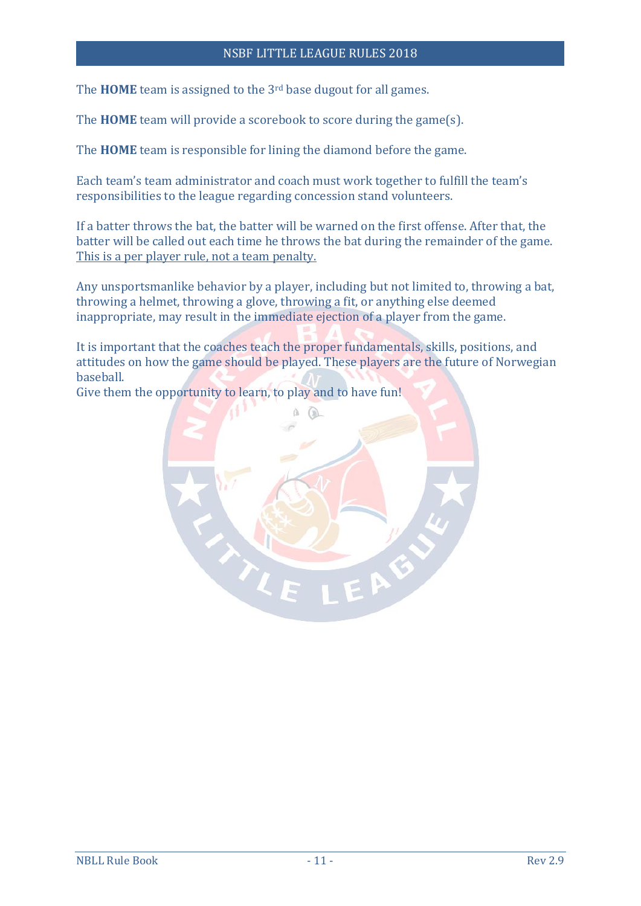#### NSBF LITTLE LEAGUE RULES 2018

The **HOME** team is assigned to the 3rd base dugout for all games.

The **HOME** team will provide a scorebook to score during the game(s).

The **HOME** team is responsible for lining the diamond before the game.

Each team's team administrator and coach must work together to fulfill the team's responsibilities to the league regarding concession stand volunteers.

If a batter throws the bat, the batter will be warned on the first offense. After that, the batter will be called out each time he throws the bat during the remainder of the game. This is a per player rule, not a team penalty.

Any unsportsmanlike behavior by a player, including but not limited to, throwing a bat, throwing a helmet, throwing a glove, throwing a fit, or anything else deemed inappropriate, may result in the immediate ejection of a player from the game.

It is important that the coaches teach the proper fundamentals, skills, positions, and attitudes on how the game should be played. These players are the future of Norwegian baseball.

Give them the opportunity to learn, to play and to have fun!

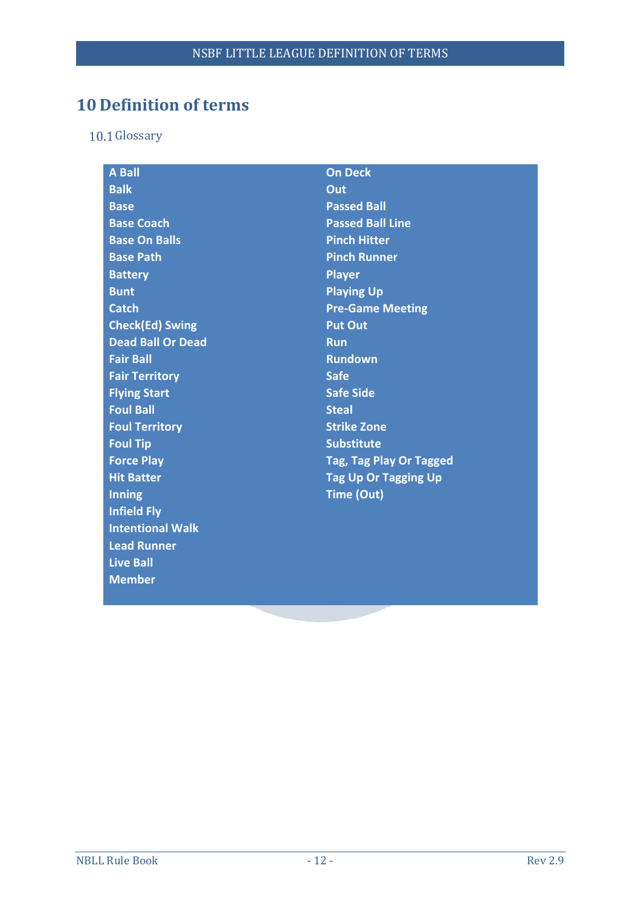## <span id="page-14-0"></span>**10 Definition of terms**

<span id="page-14-1"></span>10.1 Glossary

| <b>A Ball</b>            | <b>On Deck</b>                 |  |
|--------------------------|--------------------------------|--|
| <b>Balk</b>              | Out                            |  |
| <b>Base</b>              | <b>Passed Ball</b>             |  |
| <b>Base Coach</b>        | <b>Passed Ball Line</b>        |  |
| <b>Base On Balls</b>     | <b>Pinch Hitter</b>            |  |
| <b>Base Path</b>         | <b>Pinch Runner</b>            |  |
| <b>Battery</b>           | <b>Player</b>                  |  |
| <b>Bunt</b>              | <b>Playing Up</b>              |  |
| <b>Catch</b>             | <b>Pre-Game Meeting</b>        |  |
| <b>Check(Ed) Swing</b>   | <b>Put Out</b>                 |  |
| <b>Dead Ball Or Dead</b> | <b>Run</b>                     |  |
| <b>Fair Ball</b>         | <b>Rundown</b>                 |  |
| <b>Fair Territory</b>    | <b>Safe</b>                    |  |
| <b>Flying Start</b>      | <b>Safe Side</b>               |  |
| <b>Foul Ball</b>         | <b>Steal</b>                   |  |
| <b>Foul Territory</b>    | <b>Strike Zone</b>             |  |
| <b>Foul Tip</b>          | <b>Substitute</b>              |  |
| <b>Force Play</b>        | <b>Tag, Tag Play Or Tagged</b> |  |
| <b>Hit Batter</b>        | <b>Tag Up Or Tagging Up</b>    |  |
| <b>Inning</b>            | Time (Out)                     |  |
| <b>Infield Fly</b>       |                                |  |
| <b>Intentional Walk</b>  |                                |  |
| <b>Lead Runner</b>       |                                |  |
| <b>Live Ball</b>         |                                |  |
| <b>Member</b>            |                                |  |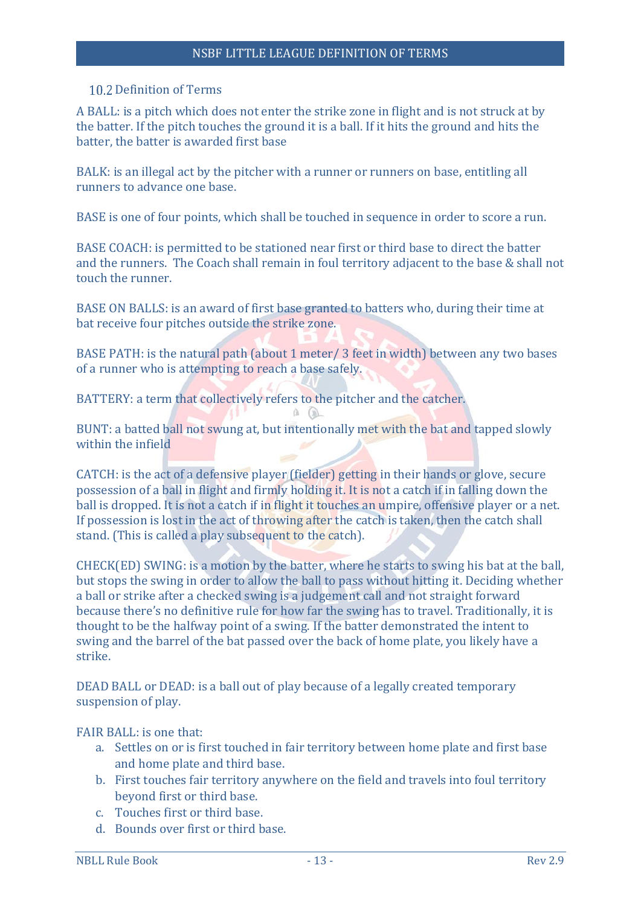#### <span id="page-15-0"></span>10.2 Definition of Terms

A BALL: is a pitch which does not enter the strike zone in flight and is not struck at by the batter. If the pitch touches the ground it is a ball. If it hits the ground and hits the batter, the batter is awarded first base

<span id="page-15-1"></span>BALK: is an illegal act by the pitcher with a runner or runners on base, entitling all runners to advance one base.

<span id="page-15-2"></span>BASE is one of four points, which shall be touched in sequence in order to score a run.

<span id="page-15-3"></span>BASE COACH: is permitted to be stationed near first or third base to direct the batter and the runners. The Coach shall remain in foul territory adjacent to the base & shall not touch the runner.

<span id="page-15-4"></span>BASE ON BALLS: is an award of first base granted to batters who, during their time at bat receive four pitches outside the strike zone.

<span id="page-15-5"></span>BASE PATH: is the natural path (about 1 meter/ 3 feet in width) between any two bases of a runner who is attempting to reach a base safely.

<span id="page-15-6"></span>BATTERY: a term that collectively refers to the pitcher and the catcher.  $A$ 

<span id="page-15-7"></span>BUNT: a batted ball not swung at, but intentionally met with the bat and tapped slowly within the infield

<span id="page-15-8"></span>CATCH: is the act of a defensive player (fielder) getting in their hands or glove, secure possession of a ball in flight and firmly holding it. It is not a catch if in falling down the ball is dropped. It is not a catch if in flight it touches an umpire, offensive player or a net. If possession is lost in the act of throwing after the catch is taken, then the catch shall stand. (This is called a play subsequent to the catch).

<span id="page-15-9"></span>CHECK(ED) SWING: is a motion by the batter, where he starts to swing his bat at the ball, but stops the swing in order to allow the ball to pass without hitting it. Deciding whether a ball or strike after a checked swing is a judgement call and not straight forward because there's no definitive rule for how far the swing has to travel. Traditionally, it is thought to be the halfway point of a swing. If the batter demonstrated the intent to swing and the barrel of the bat passed over the back of home plate, you likely have a strike.

<span id="page-15-10"></span>DEAD BALL or DEAD: is a ball out of play because of a legally created temporary suspension of play.

<span id="page-15-11"></span>FAIR BALL: is one that:

- a. Settles on or is first touched in fair territory between home plate and first base and home plate and third base.
- b. First touches fair territory anywhere on the field and travels into foul territory beyond first or third base.
- c. Touches first or third base.
- d. Bounds over first or third base.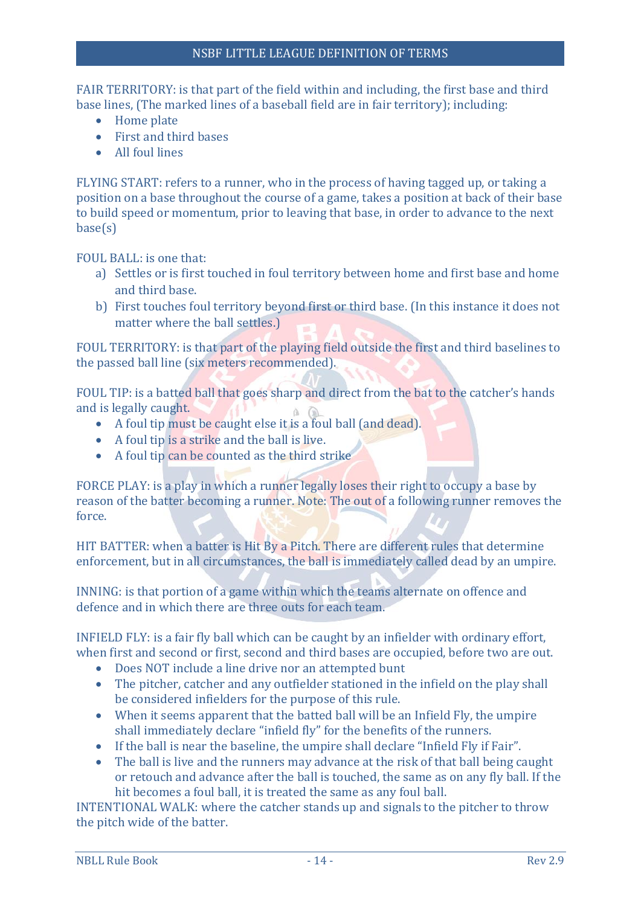<span id="page-16-0"></span>FAIR TERRITORY: is that part of the field within and including, the first base and third base lines, (The marked lines of a baseball field are in fair territory); including:

- Home plate
- First and third bases
- All foul lines

<span id="page-16-1"></span>FLYING START: refers to a runner, who in the process of having tagged up, or taking a position on a base throughout the course of a game, takes a position at back of their base to build speed or momentum, prior to leaving that base, in order to advance to the next base(s)

<span id="page-16-2"></span>FOUL BALL: is one that:

- a) Settles or is first touched in foul territory between home and first base and home and third base.
- b) First touches foul territory beyond first or third base. (In this instance it does not matter where the ball settles.)

<span id="page-16-3"></span>FOUL TERRITORY: is that part of the playing field outside the first and third baselines to the passed ball line (six meters recommended).

<span id="page-16-4"></span>FOUL TIP: is a batted ball that goes sharp and direct from the bat to the catcher's hands and is legally caught.  $A$   $A$ 

- A foul tip must be caught else it is a foul ball (and dead).
- A foul tip is a strike and the ball is live.
- A foul tip can be counted as the third strike

<span id="page-16-5"></span>FORCE PLAY: is a play in which a runner legally loses their right to occupy a base by reason of the batter becoming a runner. Note: The out of a following runner removes the force.

<span id="page-16-6"></span>HIT BATTER: when a batter is Hit By a Pitch. There are different rules that determine enforcement, but in all circumstances, the ball is immediately called dead by an umpire.

<span id="page-16-7"></span>INNING: is that portion of a game within which the teams alternate on offence and defence and in which there are three outs for each team.

<span id="page-16-8"></span>INFIELD FLY: is a fair fly ball which can be caught by an infielder with ordinary effort, when first and second or first, second and third bases are occupied, before two are out.

- Does NOT include a line drive nor an attempted bunt
- The pitcher, catcher and any outfielder stationed in the infield on the play shall be considered infielders for the purpose of this rule.
- When it seems apparent that the batted ball will be an Infield Fly, the umpire shall immediately declare "infield fly" for the benefits of the runners.
- If the ball is near the baseline, the umpire shall declare "Infield Fly if Fair".
- The ball is live and the runners may advance at the risk of that ball being caught or retouch and advance after the ball is touched, the same as on any fly ball. If the hit becomes a foul ball, it is treated the same as any foul ball.

<span id="page-16-9"></span>INTENTIONAL WALK: where the catcher stands up and signals to the pitcher to throw the pitch wide of the batter.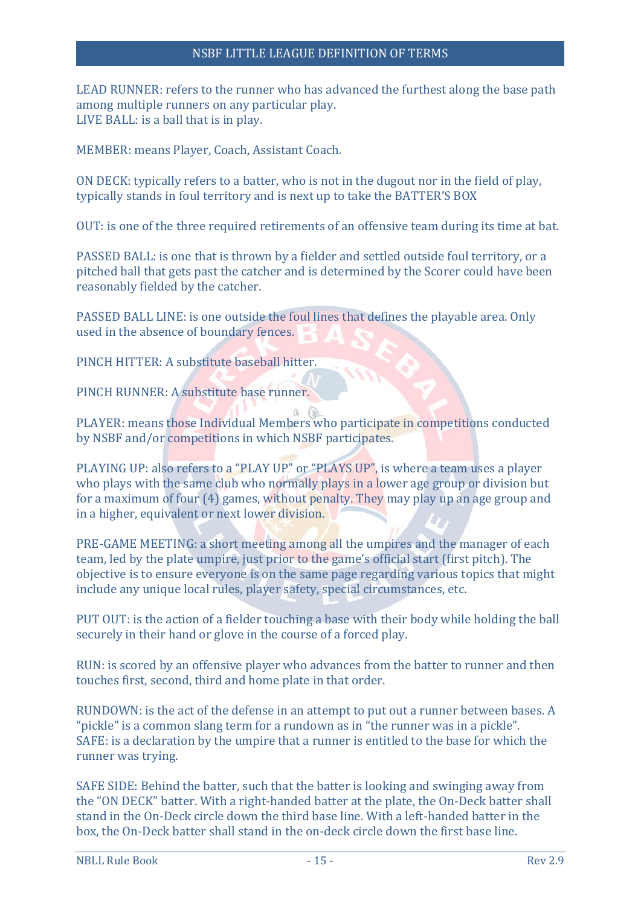#### NSBF LITTLE LEAGUE DEFINITION OF TERMS

<span id="page-17-14"></span><span id="page-17-13"></span>LEAD RUNNER: refers to the runner who has advanced the furthest along the base path among multiple runners on any particular play. LIVE BALL: is a ball that is in play.

<span id="page-17-15"></span>MEMBER: means Player, Coach, Assistant Coach.

<span id="page-17-0"></span>ON DECK: typically refers to a batter, who is not in the dugout nor in the field of play, typically stands in foul territory and is next up to take the BATTER'S BOX

<span id="page-17-1"></span>OUT: is one of the three required retirements of an offensive team during its time at bat.

PASSED BALL: is one that is thrown by a fielder and settled outside foul territory, or a pitched ball that gets past the catcher and is determined by the Scorer could have been reasonably fielded by the catcher.

<span id="page-17-2"></span>PASSED BALL LINE: is one outside the foul lines that defines the playable area. Only used in the absence of boundary fences.

<span id="page-17-3"></span>PINCH HITTER: A substitute baseball hitter.

<span id="page-17-4"></span>PINCH RUNNER: A substitute base runner.

<span id="page-17-5"></span>PLAYER: means those Individual Members who participate in competitions conducted by NSBF and/or competitions in which NSBF participates.

<span id="page-17-6"></span>PLAYING UP: also refers to a "PLAY UP" or "PLAYS UP", is where a team uses a player who plays with the same club who normally plays in a lower age group or division but for a maximum of four (4) games, without penalty. They may play up an age group and in a higher, equivalent or next lower division.

<span id="page-17-7"></span>PRE-GAME MEETING: a short meeting among all the umpires and the manager of each team, led by the plate umpire, just prior to the game's official start (first pitch). The objective is to ensure everyone is on the same page regarding various topics that might include any unique local rules, player safety, special circumstances, etc.

<span id="page-17-8"></span>PUT OUT: is the action of a fielder touching a base with their body while holding the ball securely in their hand or glove in the course of a forced play.

<span id="page-17-9"></span>RUN: is scored by an offensive player who advances from the batter to runner and then touches first, second, third and home plate in that order.

<span id="page-17-11"></span><span id="page-17-10"></span>RUNDOWN: is the act of the defense in an attempt to put out a runner between bases. A "pickle" is a common slang term for a rundown as in "the runner was in a pickle". SAFE: is a declaration by the umpire that a runner is entitled to the base for which the runner was trying.

<span id="page-17-12"></span>SAFE SIDE: Behind the batter, such that the batter is looking and swinging away from the "ON DECK" batter. With a right-handed batter at the plate, the On-Deck batter shall stand in the On-Deck circle down the third base line. With a left-handed batter in the box, the On-Deck batter shall stand in the on-deck circle down the first base line.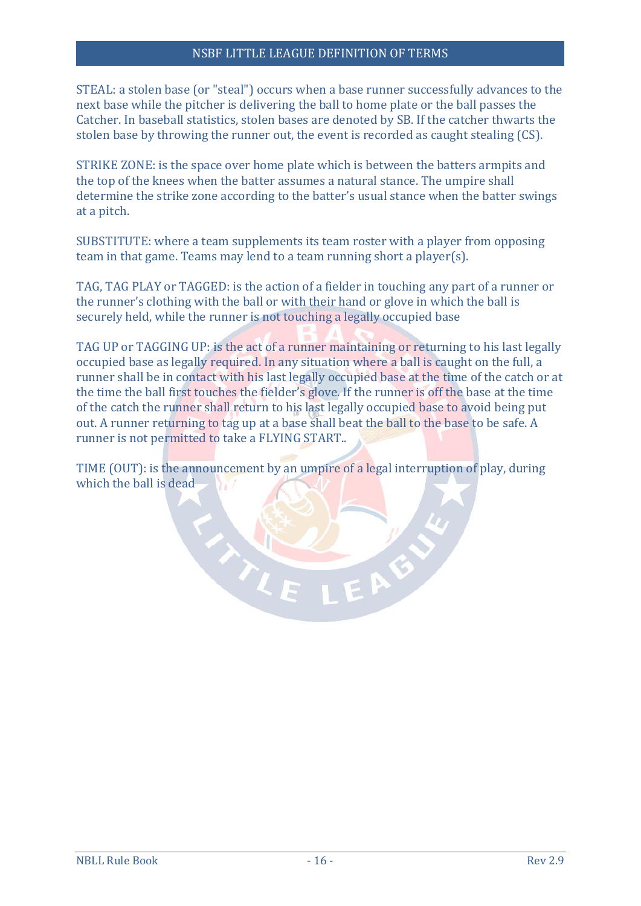#### NSBF LITTLE LEAGUE DEFINITION OF TERMS

<span id="page-18-0"></span>STEAL: a stolen base (or "steal") occurs when a base runner successfully advances to the next base while the pitcher is delivering the ball to home plate or the ball passes the Catcher. In baseball statistics, stolen bases are denoted by SB. If the catcher thwarts the stolen base by throwing the runner out, the event is recorded as caught stealing (CS).

<span id="page-18-1"></span>STRIKE ZONE: is the space over home plate which is between the batters armpits and the top of the knees when the batter assumes a natural stance. The umpire shall determine the strike zone according to the batter's usual stance when the batter swings at a pitch.

SUBSTITUTE: where a team supplements its team roster with a player from opposing team in that game. Teams may lend to a team running short a player(s).

<span id="page-18-2"></span>TAG, TAG PLAY or TAGGED: is the action of a fielder in touching any part of a runner or the runner's clothing with the ball or with their hand or glove in which the ball is securely held, while the runner is not touching a legally occupied base

<span id="page-18-3"></span>TAG UP or TAGGING UP: is the act of a runner maintaining or returning to his last legally occupied base as legally required. In any situation where a ball is caught on the full, a runner shall be in contact with his last legally occupied base at the time of the catch or at the time the ball first touches the fielder's glove. If the runner is off the base at the time of the catch the runner shall return to his last legally occupied base to avoid being put out. A runner returning to tag up at a base shall beat the ball to the base to be safe. A runner is not permitted to take a FLYING START..

TIME (OUT): is the announcement by an umpire of a legal interruption of play, during which the ball is dead